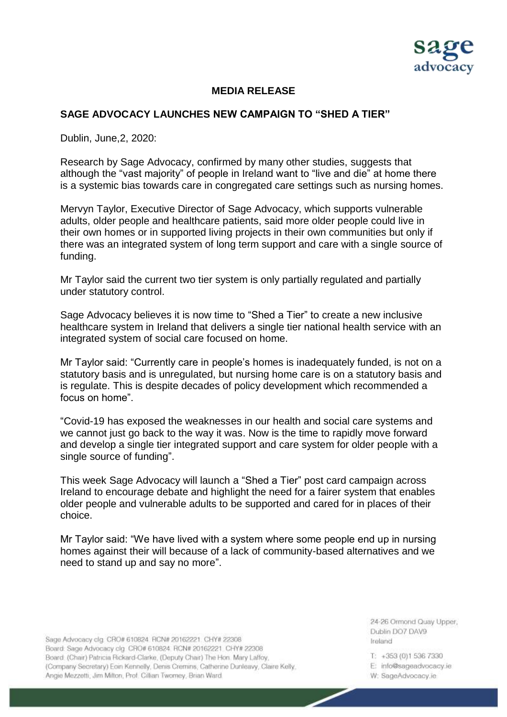

## **MEDIA RELEASE**

## **SAGE ADVOCACY LAUNCHES NEW CAMPAIGN TO "SHED A TIER"**

Dublin, June,2, 2020:

Research by Sage Advocacy, confirmed by many other studies, suggests that although the "vast majority" of people in Ireland want to "live and die" at home there is a systemic bias towards care in congregated care settings such as nursing homes.

Mervyn Taylor, Executive Director of Sage Advocacy, which supports vulnerable adults, older people and healthcare patients, said more older people could live in their own homes or in supported living projects in their own communities but only if there was an integrated system of long term support and care with a single source of funding.

Mr Taylor said the current two tier system is only partially regulated and partially under statutory control.

Sage Advocacy believes it is now time to "Shed a Tier" to create a new inclusive healthcare system in Ireland that delivers a single tier national health service with an integrated system of social care focused on home.

Mr Taylor said: "Currently care in people's homes is inadequately funded, is not on a statutory basis and is unregulated, but nursing home care is on a statutory basis and is regulate. This is despite decades of policy development which recommended a focus on home".

"Covid-19 has exposed the weaknesses in our health and social care systems and we cannot just go back to the way it was. Now is the time to rapidly move forward and develop a single tier integrated support and care system for older people with a single source of funding".

This week Sage Advocacy will launch a "Shed a Tier" post card campaign across Ireland to encourage debate and highlight the need for a fairer system that enables older people and vulnerable adults to be supported and cared for in places of their choice.

Mr Taylor said: "We have lived with a system where some people end up in nursing homes against their will because of a lack of community-based alternatives and we need to stand up and say no more".

Sage Advocacy clg. CRO# 610824 RCN# 20162221 CHY# 22308 Board: Sage Advocacy clg. CRO# 610824, RCN# 20162221, CHY# 22308 Board (Chair) Patricia Rickard-Clarke, (Deputy Chair) The Hon. Mary Laffoy, (Company Secretary) Eoin Kennelly, Denis Cremins, Catherine Dunleavy, Claire Kelly, Angie Mezzetti, Jim Milton, Prof. Cillian Twomey, Brian Ward

24-26 Ormond Quay Upper. Dublin DO7 DAV9 **Ireland** 

T: +353 (0)1 536 7330

- E: info@sageadvocacy.ie
- W: SageAdvocacy.ie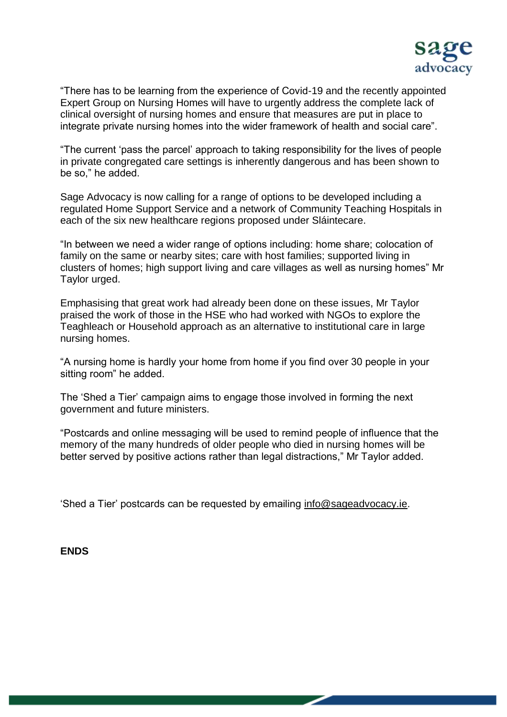

"There has to be learning from the experience of Covid-19 and the recently appointed Expert Group on Nursing Homes will have to urgently address the complete lack of clinical oversight of nursing homes and ensure that measures are put in place to integrate private nursing homes into the wider framework of health and social care".

"The current 'pass the parcel' approach to taking responsibility for the lives of people in private congregated care settings is inherently dangerous and has been shown to be so," he added.

Sage Advocacy is now calling for a range of options to be developed including a regulated Home Support Service and a network of Community Teaching Hospitals in each of the six new healthcare regions proposed under Sláintecare.

"In between we need a wider range of options including: home share; colocation of family on the same or nearby sites; care with host families; supported living in clusters of homes; high support living and care villages as well as nursing homes" Mr Taylor urged.

Emphasising that great work had already been done on these issues, Mr Taylor praised the work of those in the HSE who had worked with NGOs to explore the Teaghleach or Household approach as an alternative to institutional care in large nursing homes.

"A nursing home is hardly your home from home if you find over 30 people in your sitting room" he added.

The 'Shed a Tier' campaign aims to engage those involved in forming the next government and future ministers.

"Postcards and online messaging will be used to remind people of influence that the memory of the many hundreds of older people who died in nursing homes will be better served by positive actions rather than legal distractions," Mr Taylor added.

'Shed a Tier' postcards can be requested by emailing [info@sageadvocacy.ie.](mailto:info@sageadvocacy.ie)

**ENDS**